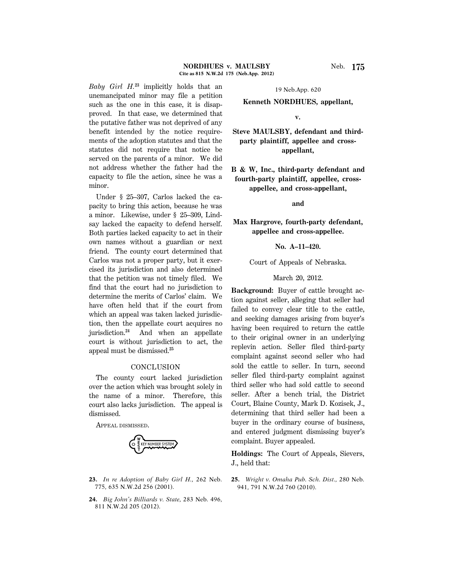*Baby Girl H.***<sup>23</sup>** implicitly holds that an unemancipated minor may file a petition such as the one in this case, it is disapproved. In that case, we determined that the putative father was not deprived of any benefit intended by the notice requirements of the adoption statutes and that the statutes did not require that notice be served on the parents of a minor. We did not address whether the father had the capacity to file the action, since he was a minor.

Under § 25–307, Carlos lacked the capacity to bring this action, because he was a minor. Likewise, under § 25–309, Lindsay lacked the capacity to defend herself. Both parties lacked capacity to act in their own names without a guardian or next friend. The county court determined that Carlos was not a proper party, but it exercised its jurisdiction and also determined that the petition was not timely filed. We find that the court had no jurisdiction to determine the merits of Carlos' claim. We have often held that if the court from which an appeal was taken lacked jurisdiction, then the appellate court acquires no jurisdiction.**<sup>24</sup>** And when an appellate court is without jurisdiction to act, the appeal must be dismissed.**<sup>25</sup>**

# **CONCLUSION**

The county court lacked jurisdiction over the action which was brought solely in the name of a minor. Therefore, this court also lacks jurisdiction. The appeal is dismissed.

APPEAL DISMISSED.



- **23.** *In re Adoption of Baby Girl H.,* 262 Neb. 775, 635 N.W.2d 256 (2001).
- **24.** *Big John's Billiards v. State,* 283 Neb. 496, 811 N.W.2d 205 (2012).

19 Neb.App. 620

**Kenneth NORDHUES, appellant,**

**v.**

**Steve MAULSBY, defendant and thirdparty plaintiff, appellee and crossappellant,**

**B & W, Inc., third-party defendant and fourth-party plaintiff, appellee, crossappellee, and cross-appellant,**

**and**

**Max Hargrove, fourth-party defendant, appellee and cross-appellee.**

**No. A–11–420.**

Court of Appeals of Nebraska.

March 20, 2012.

**Background:** Buyer of cattle brought action against seller, alleging that seller had failed to convey clear title to the cattle, and seeking damages arising from buyer's having been required to return the cattle to their original owner in an underlying replevin action. Seller filed third-party complaint against second seller who had sold the cattle to seller. In turn, second seller filed third-party complaint against third seller who had sold cattle to second seller. After a bench trial, the District Court, Blaine County, Mark D. Kozisek, J., determining that third seller had been a buyer in the ordinary course of business, and entered judgment dismissing buyer's complaint. Buyer appealed.

**Holdings:** The Court of Appeals, Sievers, J., held that:

**25.** *Wright v. Omaha Pub. Sch. Dist.,* 280 Neb. 941, 791 N.W.2d 760 (2010).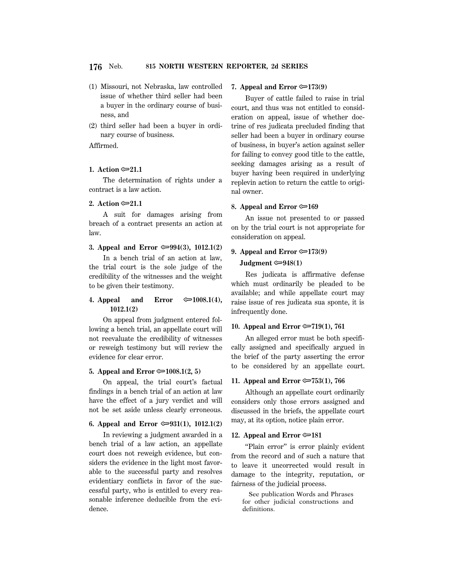- (1) Missouri, not Nebraska, law controlled issue of whether third seller had been a buyer in the ordinary course of business, and
- (2) third seller had been a buyer in ordinary course of business.

Affirmed.

## **1.** Action **<del></del><del>∞</del>21.1</del>**

The determination of rights under a contract is a law action.

# **2.** Action **<del></del>∞21.1**

A suit for damages arising from breach of a contract presents an action at law.

# **3. Appeal and Error** O**994(3), 1012.1(2)**

In a bench trial of an action at law, the trial court is the sole judge of the credibility of the witnesses and the weight to be given their testimony.

# **4. Appeal and Error**  $\infty$  **1008.1(4), 1012.1(2)**

On appeal from judgment entered following a bench trial, an appellate court will not reevaluate the credibility of witnesses or reweigh testimony but will review the evidence for clear error.

# **5. Appeal and Error**  $\approx 1008.1(2, 5)$

On appeal, the trial court's factual findings in a bench trial of an action at law have the effect of a jury verdict and will not be set aside unless clearly erroneous.

# **6. Appeal and Error**  $\infty$ **931(1), 1012.1(2)**

In reviewing a judgment awarded in a bench trial of a law action, an appellate court does not reweigh evidence, but considers the evidence in the light most favorable to the successful party and resolves evidentiary conflicts in favor of the successful party, who is entitled to every reasonable inference deducible from the evidence.

### **7. Appeal and Error** O**173(9)**

Buyer of cattle failed to raise in trial court, and thus was not entitled to consideration on appeal, issue of whether doctrine of res judicata precluded finding that seller had been a buyer in ordinary course of business, in buyer's action against seller for failing to convey good title to the cattle, seeking damages arising as a result of buyer having been required in underlying replevin action to return the cattle to original owner.

# **8. Appeal and Error**  $\approx 169$

An issue not presented to or passed on by the trial court is not appropriate for consideration on appeal.

# **9. Appeal and Error**  $\mathbb{R}$  **173(9)**

# **Judgment**  $\mathbf{$ **∞948(1)**

Res judicata is affirmative defense which must ordinarily be pleaded to be available; and while appellate court may raise issue of res judicata sua sponte, it is infrequently done.

### **10. Appeal and Error**  $\approx 719(1)$ **, 761**

An alleged error must be both specifically assigned and specifically argued in the brief of the party asserting the error to be considered by an appellate court.

#### **11. Appeal and Error**  $\approx 753(1)$ **, 766**

Although an appellate court ordinarily considers only those errors assigned and discussed in the briefs, the appellate court may, at its option, notice plain error.

### **12. Appeal and Error**  $\approx 181$

''Plain error'' is error plainly evident from the record and of such a nature that to leave it uncorrected would result in damage to the integrity, reputation, or fairness of the judicial process.

 See publication Words and Phrases for other judicial constructions and definitions.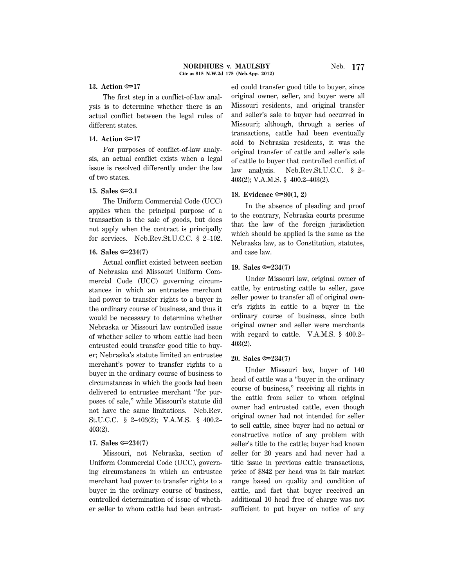# **13.** Action ∞17

The first step in a conflict-of-law analysis is to determine whether there is an actual conflict between the legal rules of different states.

# **14. Action ©**<sup>17</sup>

For purposes of conflict-of-law analysis, an actual conflict exists when a legal issue is resolved differently under the law of two states.

### **15.** Sales  $\approx 3.1$

The Uniform Commercial Code (UCC) applies when the principal purpose of a transaction is the sale of goods, but does not apply when the contract is principally for services. Neb.Rev.St.U.C.C. § 2–102.

# **16. Sales**  $\approx 234(7)$

Actual conflict existed between section of Nebraska and Missouri Uniform Commercial Code (UCC) governing circumstances in which an entrustee merchant had power to transfer rights to a buyer in the ordinary course of business, and thus it would be necessary to determine whether Nebraska or Missouri law controlled issue of whether seller to whom cattle had been entrusted could transfer good title to buyer; Nebraska's statute limited an entrustee merchant's power to transfer rights to a buyer in the ordinary course of business to circumstances in which the goods had been delivered to entrustee merchant ''for purposes of sale,'' while Missouri's statute did not have the same limitations. Neb.Rev. St.U.C.C. § 2–403(2); V.A.M.S. § 400.2– 403(2).

#### **17. Sales**  $\approx 234(7)$

Missouri, not Nebraska, section of Uniform Commercial Code (UCC), governing circumstances in which an entrustee merchant had power to transfer rights to a buyer in the ordinary course of business, controlled determination of issue of whether seller to whom cattle had been entrust-

ed could transfer good title to buyer, since original owner, seller, and buyer were all Missouri residents, and original transfer and seller's sale to buyer had occurred in Missouri; although, through a series of transactions, cattle had been eventually sold to Nebraska residents, it was the original transfer of cattle and seller's sale of cattle to buyer that controlled conflict of law analysis. Neb.Rev.St.U.C.C. § 2– 403(2); V.A.M.S. § 400.2–403(2).

# **18. Evidence ©**80(1, 2)

In the absence of pleading and proof to the contrary, Nebraska courts presume that the law of the foreign jurisdiction which should be applied is the same as the Nebraska law, as to Constitution, statutes, and case law.

#### **19. Sales ∞234(7)**

Under Missouri law, original owner of cattle, by entrusting cattle to seller, gave seller power to transfer all of original owner's rights in cattle to a buyer in the ordinary course of business, since both original owner and seller were merchants with regard to cattle. V.A.M.S. § 400.2– 403(2).

# **20. Sales** O**234(7)**

Under Missouri law, buyer of 140 head of cattle was a ''buyer in the ordinary course of business,'' receiving all rights in the cattle from seller to whom original owner had entrusted cattle, even though original owner had not intended for seller to sell cattle, since buyer had no actual or constructive notice of any problem with seller's title to the cattle; buyer had known seller for 20 years and had never had a title issue in previous cattle transactions, price of \$842 per head was in fair market range based on quality and condition of cattle, and fact that buyer received an additional 10 head free of charge was not sufficient to put buyer on notice of any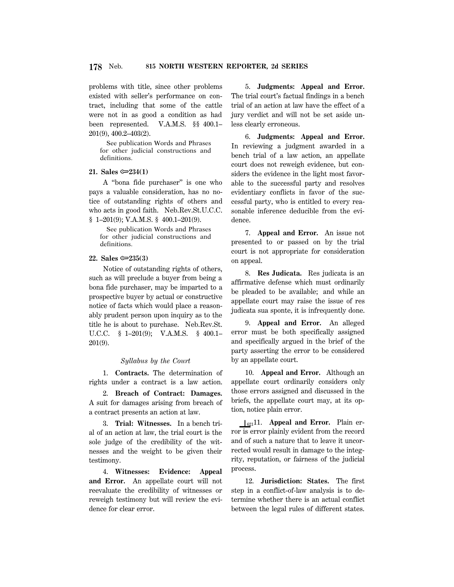problems with title, since other problems existed with seller's performance on contract, including that some of the cattle were not in as good a condition as had been represented. V.A.M.S. §§ 400.1– 201(9), 400.2–403(2).

 See publication Words and Phrases for other judicial constructions and definitions.

### **21.** Sales  $\textcircled{=}234(1)$

A ''bona fide purchaser'' is one who pays a valuable consideration, has no notice of outstanding rights of others and who acts in good faith. Neb.Rev.St.U.C.C. § 1-201(9); V.A.M.S. § 400.1-201(9).

 See publication Words and Phrases for other judicial constructions and definitions.

### **22.** Sales  $\mathbb{R}$ 235(3)

Notice of outstanding rights of others, such as will preclude a buyer from being a bona fide purchaser, may be imparted to a prospective buyer by actual or constructive notice of facts which would place a reasonably prudent person upon inquiry as to the title he is about to purchase. Neb.Rev.St. U.C.C. § 1–201(9); V.A.M.S. § 400.1– 201(9).

### *Syllabus by the Court*

1. **Contracts.** The determination of rights under a contract is a law action.

2. **Breach of Contract: Damages.** A suit for damages arising from breach of a contract presents an action at law.

3. **Trial: Witnesses.** In a bench trial of an action at law, the trial court is the sole judge of the credibility of the witnesses and the weight to be given their testimony.

4. **Witnesses: Evidence: Appeal and Error.** An appellate court will not reevaluate the credibility of witnesses or reweigh testimony but will review the evidence for clear error.

5. **Judgments: Appeal and Error.** The trial court's factual findings in a bench trial of an action at law have the effect of a jury verdict and will not be set aside unless clearly erroneous.

6. **Judgments: Appeal and Error.** In reviewing a judgment awarded in a bench trial of a law action, an appellate court does not reweigh evidence, but considers the evidence in the light most favorable to the successful party and resolves evidentiary conflicts in favor of the successful party, who is entitled to every reasonable inference deducible from the evidence.

7. **Appeal and Error.** An issue not presented to or passed on by the trial court is not appropriate for consideration on appeal.

8. **Res Judicata.** Res judicata is an affirmative defense which must ordinarily be pleaded to be available; and while an appellate court may raise the issue of res judicata sua sponte, it is infrequently done.

9. **Appeal and Error.** An alleged error must be both specifically assigned and specifically argued in the brief of the party asserting the error to be considered by an appellate court.

10. **Appeal and Error.** Although an appellate court ordinarily considers only those errors assigned and discussed in the briefs, the appellate court may, at its option, notice plain error.

 $\frac{1}{621}$ 11. **Appeal and Error.** Plain error is error plainly evident from the record and of such a nature that to leave it uncorrected would result in damage to the integrity, reputation, or fairness of the judicial process.

12. **Jurisdiction: States.** The first step in a conflict-of-law analysis is to determine whether there is an actual conflict between the legal rules of different states.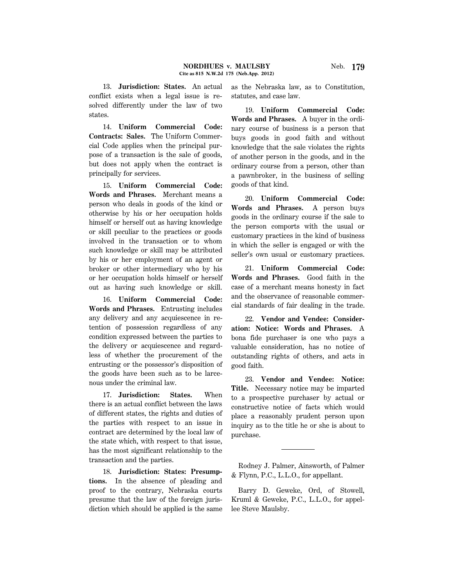13. **Jurisdiction: States.** An actual conflict exists when a legal issue is resolved differently under the law of two states.

14. **Uniform Commercial Code: Contracts: Sales.** The Uniform Commercial Code applies when the principal purpose of a transaction is the sale of goods, but does not apply when the contract is principally for services.

15. **Uniform Commercial Code: Words and Phrases.** Merchant means a person who deals in goods of the kind or otherwise by his or her occupation holds himself or herself out as having knowledge or skill peculiar to the practices or goods involved in the transaction or to whom such knowledge or skill may be attributed by his or her employment of an agent or broker or other intermediary who by his or her occupation holds himself or herself out as having such knowledge or skill.

16. **Uniform Commercial Code: Words and Phrases.** Entrusting includes any delivery and any acquiescence in retention of possession regardless of any condition expressed between the parties to the delivery or acquiescence and regardless of whether the procurement of the entrusting or the possessor's disposition of the goods have been such as to be larcenous under the criminal law.

17. **Jurisdiction: States.** When there is an actual conflict between the laws of different states, the rights and duties of the parties with respect to an issue in contract are determined by the local law of the state which, with respect to that issue, has the most significant relationship to the transaction and the parties.

18. **Jurisdiction: States: Presumptions.** In the absence of pleading and proof to the contrary, Nebraska courts presume that the law of the foreign jurisdiction which should be applied is the same as the Nebraska law, as to Constitution, statutes, and case law.

19. **Uniform Commercial Code: Words and Phrases.** A buyer in the ordinary course of business is a person that buys goods in good faith and without knowledge that the sale violates the rights of another person in the goods, and in the ordinary course from a person, other than a pawnbroker, in the business of selling goods of that kind.

20. **Uniform Commercial Code: Words and Phrases.** A person buys goods in the ordinary course if the sale to the person comports with the usual or customary practices in the kind of business in which the seller is engaged or with the seller's own usual or customary practices.

21. **Uniform Commercial Code: Words and Phrases.** Good faith in the case of a merchant means honesty in fact and the observance of reasonable commercial standards of fair dealing in the trade.

22. **Vendor and Vendee: Consideration: Notice: Words and Phrases.** A bona fide purchaser is one who pays a valuable consideration, has no notice of outstanding rights of others, and acts in good faith.

23. **Vendor and Vendee: Notice: Title.** Necessary notice may be imparted to a prospective purchaser by actual or constructive notice of facts which would place a reasonably prudent person upon inquiry as to the title he or she is about to purchase.

Rodney J. Palmer, Ainsworth, of Palmer & Flynn, P.C., L.L.O., for appellant.

Barry D. Geweke, Ord, of Stowell, Kruml & Geweke, P.C., L.L.O., for appellee Steve Maulsby.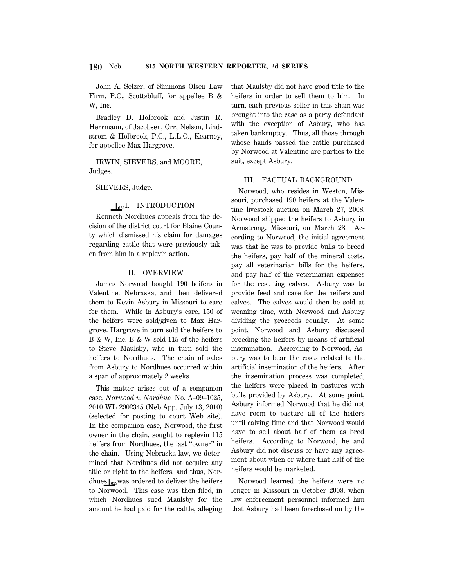John A. Selzer, of Simmons Olsen Law Firm, P.C., Scottsbluff, for appellee B & W, Inc.

Bradley D. Holbrook and Justin R. Herrmann, of Jacobsen, Orr, Nelson, Lindstrom & Holbrook, P.C., L.L.O., Kearney, for appellee Max Hargrove.

IRWIN, SIEVERS, and MOORE, Judges.

SIEVERS, Judge.

# $\frac{1622}{\text{L}}$ . INTRODUCTION

Kenneth Nordhues appeals from the decision of the district court for Blaine County which dismissed his claim for damages regarding cattle that were previously taken from him in a replevin action.

# II. OVERVIEW

James Norwood bought 190 heifers in Valentine, Nebraska, and then delivered them to Kevin Asbury in Missouri to care for them. While in Asbury's care, 150 of the heifers were sold/given to Max Hargrove. Hargrove in turn sold the heifers to B & W, Inc. B & W sold 115 of the heifers to Steve Maulsby, who in turn sold the heifers to Nordhues. The chain of sales from Asbury to Nordhues occurred within a span of approximately 2 weeks.

This matter arises out of a companion case, *Norwood v. Nordhue,* No. A–09–1025, 2010 WL 2902345 (Neb.App. July 13, 2010) (selected for posting to court Web site). In the companion case, Norwood, the first owner in the chain, sought to replevin 115 heifers from Nordhues, the last ''owner'' in the chain. Using Nebraska law, we determined that Nordhues did not acquire any title or right to the heifers, and thus, Nordhues  $\int_{623}$ was ordered to deliver the heifers to Norwood. This case was then filed, in which Nordhues sued Maulsby for the amount he had paid for the cattle, alleging that Maulsby did not have good title to the heifers in order to sell them to him. In turn, each previous seller in this chain was brought into the case as a party defendant with the exception of Asbury, who has taken bankruptcy. Thus, all those through whose hands passed the cattle purchased by Norwood at Valentine are parties to the suit, except Asbury.

### III. FACTUAL BACKGROUND

Norwood, who resides in Weston, Missouri, purchased 190 heifers at the Valentine livestock auction on March 27, 2008. Norwood shipped the heifers to Asbury in Armstrong, Missouri, on March 28. According to Norwood, the initial agreement was that he was to provide bulls to breed the heifers, pay half of the mineral costs, pay all veterinarian bills for the heifers, and pay half of the veterinarian expenses for the resulting calves. Asbury was to provide feed and care for the heifers and calves. The calves would then be sold at weaning time, with Norwood and Asbury dividing the proceeds equally. At some point, Norwood and Asbury discussed breeding the heifers by means of artificial insemination. According to Norwood, Asbury was to bear the costs related to the artificial insemination of the heifers. After the insemination process was completed, the heifers were placed in pastures with bulls provided by Asbury. At some point, Asbury informed Norwood that he did not have room to pasture all of the heifers until calving time and that Norwood would have to sell about half of them as bred heifers. According to Norwood, he and Asbury did not discuss or have any agreement about when or where that half of the heifers would be marketed.

Norwood learned the heifers were no longer in Missouri in October 2008, when law enforcement personnel informed him that Asbury had been foreclosed on by the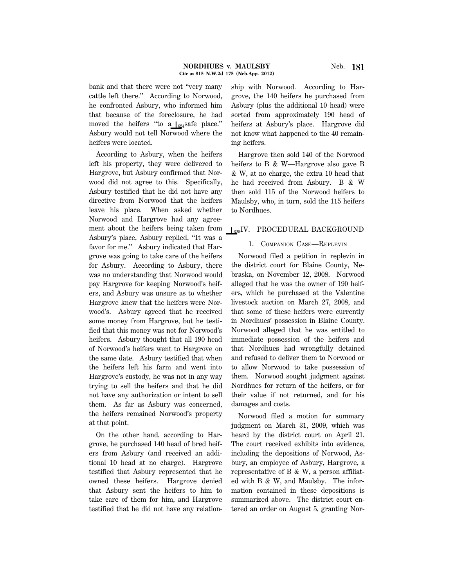bank and that there were not ''very many cattle left there.'' According to Norwood, he confronted Asbury, who informed him that because of the foreclosure, he had moved the heifers "to a  $\int_{624}$ safe place." Asbury would not tell Norwood where the heifers were located.

According to Asbury, when the heifers left his property, they were delivered to Hargrove, but Asbury confirmed that Norwood did not agree to this. Specifically, Asbury testified that he did not have any directive from Norwood that the heifers leave his place. When asked whether Norwood and Hargrove had any agreement about the heifers being taken from Asbury's place, Asbury replied, ''It was a favor for me.'' Asbury indicated that Hargrove was going to take care of the heifers for Asbury. According to Asbury, there was no understanding that Norwood would pay Hargrove for keeping Norwood's heifers, and Asbury was unsure as to whether Hargrove knew that the heifers were Norwood's. Asbury agreed that he received some money from Hargrove, but he testified that this money was not for Norwood's heifers. Asbury thought that all 190 head of Norwood's heifers went to Hargrove on the same date. Asbury testified that when the heifers left his farm and went into Hargrove's custody, he was not in any way trying to sell the heifers and that he did not have any authorization or intent to sell them. As far as Asbury was concerned, the heifers remained Norwood's property at that point.

On the other hand, according to Hargrove, he purchased 140 head of bred heifers from Asbury (and received an additional 10 head at no charge). Hargrove testified that Asbury represented that he owned these heifers. Hargrove denied that Asbury sent the heifers to him to take care of them for him, and Hargrove testified that he did not have any relationship with Norwood. According to Hargrove, the 140 heifers he purchased from Asbury (plus the additional 10 head) were sorted from approximately 190 head of heifers at Asbury's place. Hargrove did not know what happened to the 40 remaining heifers.

Hargrove then sold 140 of the Norwood heifers to B & W—Hargrove also gave B & W, at no charge, the extra 10 head that he had received from Asbury. B & W then sold 115 of the Norwood heifers to Maulsby, who, in turn, sold the 115 heifers to Nordhues.

# $\log$ IV. PROCEDURAL BACKGROUND

### 1. COMPANION CASE—REPLEVIN

Norwood filed a petition in replevin in the district court for Blaine County, Nebraska, on November 12, 2008. Norwood alleged that he was the owner of 190 heifers, which he purchased at the Valentine livestock auction on March 27, 2008, and that some of these heifers were currently in Nordhues' possession in Blaine County. Norwood alleged that he was entitled to immediate possession of the heifers and that Nordhues had wrongfully detained and refused to deliver them to Norwood or to allow Norwood to take possession of them. Norwood sought judgment against Nordhues for return of the heifers, or for their value if not returned, and for his damages and costs.

Norwood filed a motion for summary judgment on March 31, 2009, which was heard by the district court on April 21. The court received exhibits into evidence, including the depositions of Norwood, Asbury, an employee of Asbury, Hargrove, a representative of B & W, a person affiliated with B & W, and Maulsby. The information contained in these depositions is summarized above. The district court entered an order on August 5, granting Nor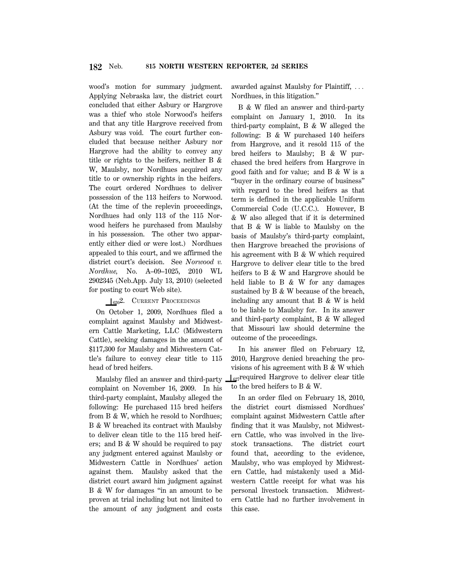wood's motion for summary judgment. Applying Nebraska law, the district court concluded that either Asbury or Hargrove was a thief who stole Norwood's heifers and that any title Hargrove received from Asbury was void. The court further concluded that because neither Asbury nor Hargrove had the ability to convey any title or rights to the heifers, neither B & W, Maulsby, nor Nordhues acquired any title to or ownership rights in the heifers. The court ordered Nordhues to deliver possession of the 113 heifers to Norwood. (At the time of the replevin proceedings, Nordhues had only 113 of the 115 Norwood heifers he purchased from Maulsby in his possession. The other two apparently either died or were lost.) Nordhues appealed to this court, and we affirmed the district court's decision. See *Norwood v. Nordhue,* No. A–09–1025, 2010 WL 2902345 (Neb.App. July 13, 2010) (selected for posting to court Web site).

 $16262$ . CURRENT PROCEEDINGS

On October 1, 2009, Nordhues filed a complaint against Maulsby and Midwestern Cattle Marketing, LLC (Midwestern Cattle), seeking damages in the amount of \$117,300 for Maulsby and Midwestern Cattle's failure to convey clear title to 115 head of bred heifers.

Maulsby filed an answer and third-party complaint on November 16, 2009. In his third-party complaint, Maulsby alleged the following: He purchased 115 bred heifers from B & W, which he resold to Nordhues; B & W breached its contract with Maulsby to deliver clean title to the 115 bred heifers; and B & W should be required to pay any judgment entered against Maulsby or Midwestern Cattle in Nordhues' action against them. Maulsby asked that the district court award him judgment against B & W for damages ''in an amount to be proven at trial including but not limited to the amount of any judgment and costs

awarded against Maulsby for Plaintiff,  $\ldots$ Nordhues, in this litigation.''

B & W filed an answer and third-party complaint on January 1, 2010. In its third-party complaint, B & W alleged the following: B & W purchased 140 heifers from Hargrove, and it resold 115 of the bred heifers to Maulsby; B & W purchased the bred heifers from Hargrove in good faith and for value; and B & W is a ''buyer in the ordinary course of business'' with regard to the bred heifers as that term is defined in the applicable Uniform Commercial Code (U.C.C.). However, B & W also alleged that if it is determined that B & W is liable to Maulsby on the basis of Maulsby's third-party complaint, then Hargrove breached the provisions of his agreement with B & W which required Hargrove to deliver clear title to the bred heifers to B & W and Hargrove should be held liable to B & W for any damages sustained by B & W because of the breach, including any amount that B & W is held to be liable to Maulsby for. In its answer and third-party complaint, B & W alleged that Missouri law should determine the outcome of the proceedings.

In his answer filed on February 12, 2010, Hargrove denied breaching the provisions of his agreement with B & W which  $\int_{627}$ required Hargrove to deliver clear title to the bred heifers to B & W.

In an order filed on February 18, 2010, the district court dismissed Nordhues' complaint against Midwestern Cattle after finding that it was Maulsby, not Midwestern Cattle, who was involved in the livestock transactions. The district court found that, according to the evidence, Maulsby, who was employed by Midwestern Cattle, had mistakenly used a Midwestern Cattle receipt for what was his personal livestock transaction. Midwestern Cattle had no further involvement in this case.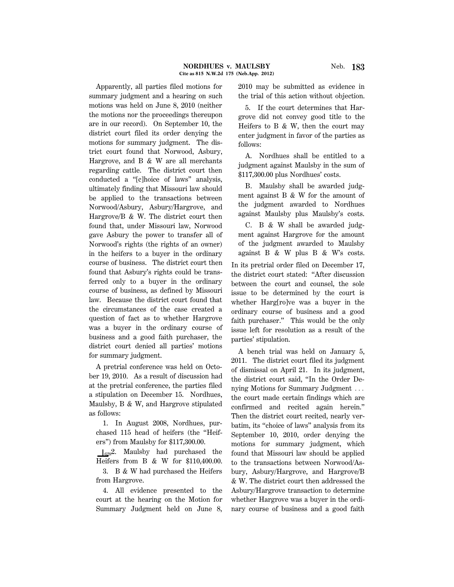Apparently, all parties filed motions for summary judgment and a hearing on such motions was held on June 8, 2010 (neither the motions nor the proceedings thereupon are in our record). On September 10, the district court filed its order denying the motions for summary judgment. The district court found that Norwood, Asbury, Hargrove, and B & W are all merchants regarding cattle. The district court then conducted a ''[c]hoice of laws'' analysis, ultimately finding that Missouri law should be applied to the transactions between Norwood/Asbury, Asbury/Hargrove, and Hargrove/B & W. The district court then found that, under Missouri law, Norwood gave Asbury the power to transfer all of Norwood's rights (the rights of an owner) in the heifers to a buyer in the ordinary course of business. The district court then found that Asbury's rights could be transferred only to a buyer in the ordinary course of business, as defined by Missouri law. Because the district court found that the circumstances of the case created a question of fact as to whether Hargrove was a buyer in the ordinary course of business and a good faith purchaser, the district court denied all parties' motions for summary judgment.

A pretrial conference was held on October 19, 2010. As a result of discussion had at the pretrial conference, the parties filed a stipulation on December 15. Nordhues, Maulsby, B & W, and Hargrove stipulated as follows:

1. In August 2008, Nordhues, purchased 115 head of heifers (the ''Heifers'') from Maulsby for \$117,300.00.

 $\log_2 2$ . Maulsby had purchased the Heifers from B & W for \$110,400.00.

3. B & W had purchased the Heifers from Hargrove.

4. All evidence presented to the court at the hearing on the Motion for Summary Judgment held on June 8, 2010 may be submitted as evidence in the trial of this action without objection.

5. If the court determines that Hargrove did not convey good title to the Heifers to B  $\&$  W, then the court may enter judgment in favor of the parties as follows:

A. Nordhues shall be entitled to a judgment against Maulsby in the sum of \$117,300.00 plus Nordhues' costs.

B. Maulsby shall be awarded judgment against B & W for the amount of the judgment awarded to Nordhues against Maulsby plus Maulsby's costs.

C. B & W shall be awarded judgment against Hargrove for the amount of the judgment awarded to Maulsby against B & W plus B & W's costs.

In its pretrial order filed on December 17, the district court stated: ''After discussion between the court and counsel, the sole issue to be determined by the court is whether Harg[ro]ve was a buyer in the ordinary course of business and a good faith purchaser.'' This would be the only issue left for resolution as a result of the parties' stipulation.

A bench trial was held on January 5, 2011. The district court filed its judgment of dismissal on April 21. In its judgment, the district court said, ''In the Order Denying Motions for Summary Judgment  $\ldots$ the court made certain findings which are confirmed and recited again herein.'' Then the district court recited, nearly verbatim, its ''choice of laws'' analysis from its September 10, 2010, order denying the motions for summary judgment, which found that Missouri law should be applied to the transactions between Norwood/Asbury, Asbury/Hargrove, and Hargrove/B & W. The district court then addressed the Asbury/Hargrove transaction to determine whether Hargrove was a buyer in the ordinary course of business and a good faith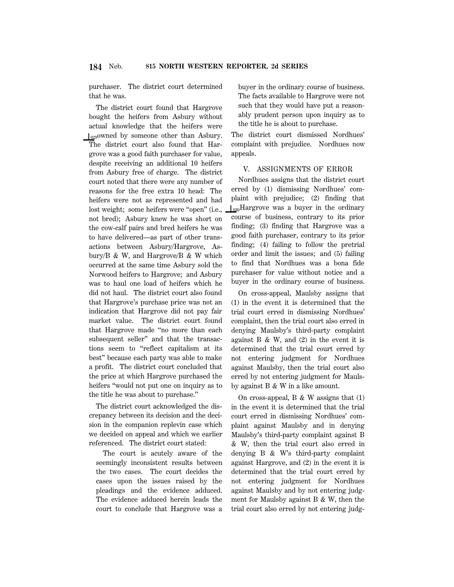purchaser. The district court determined that he was.

The district court found that Hargrove bought the heifers from Asbury without actual knowledge that the heifers were  $\int_{629}$ owned by someone other than Asbury. The district court also found that Hargrove was a good faith purchaser for value, despite receiving an additional 10 heifers from Asbury free of charge. The district court noted that there were any number of reasons for the free extra 10 head: The heifers were not as represented and had lost weight; some heifers were "open" (i.e., not bred); Asbury knew he was short on the cow-calf pairs and bred heifers he was to have delivered—as part of other transactions between Asbury/Hargrove, Asbury/B & W, and Hargrove/B & W which occurred at the same time Asbury sold the Norwood heifers to Hargrove; and Asbury was to haul one load of heifers which he did not haul. The district court also found that Hargrove's purchase price was not an indication that Hargrove did not pay fair market value. The district court found that Hargrove made ''no more than each subsequent seller'' and that the transactions seem to ''reflect capitalism at its best'' because each party was able to make a profit. The district court concluded that the price at which Hargrove purchased the heifers "would not put one on inquiry as to the title he was about to purchase.''

The district court acknowledged the discrepancy between its decision and the decision in the companion replevin case which we decided on appeal and which we earlier referenced. The district court stated:

The court is acutely aware of the seemingly inconsistent results between the two cases. The court decides the cases upon the issues raised by the pleadings and the evidence adduced. The evidence adduced herein leads the court to conclude that Hargrove was a buyer in the ordinary course of business. The facts available to Hargrove were not such that they would have put a reasonably prudent person upon inquiry as to the title he is about to purchase.

The district court dismissed Nordhues' complaint with prejudice. Nordhues now appeals.

### V. ASSIGNMENTS OF ERROR

Nordhues assigns that the district court erred by (1) dismissing Nordhues' complaint with prejudice; (2) finding that  $\int_{630}$ Hargrove was a buyer in the ordinary course of business, contrary to its prior finding; (3) finding that Hargrove was a good faith purchaser, contrary to its prior finding; (4) failing to follow the pretrial order and limit the issues; and (5) failing to find that Nordhues was a bona fide purchaser for value without notice and a buyer in the ordinary course of business.

On cross-appeal, Maulsby assigns that (1) in the event it is determined that the trial court erred in dismissing Nordhues' complaint, then the trial court also erred in denying Maulsby's third-party complaint against  $B \& W$ , and  $(2)$  in the event it is determined that the trial court erred by not entering judgment for Nordhues against Maulsby, then the trial court also erred by not entering judgment for Maulsby against B & W in a like amount.

On cross-appeal, B  $&$  W assigns that (1) in the event it is determined that the trial court erred in dismissing Nordhues' complaint against Maulsby and in denying Maulsby's third-party complaint against B & W, then the trial court also erred in denying B & W's third-party complaint against Hargrove, and (2) in the event it is determined that the trial court erred by not entering judgment for Nordhues against Maulsby and by not entering judgment for Maulsby against B & W, then the trial court also erred by not entering judg-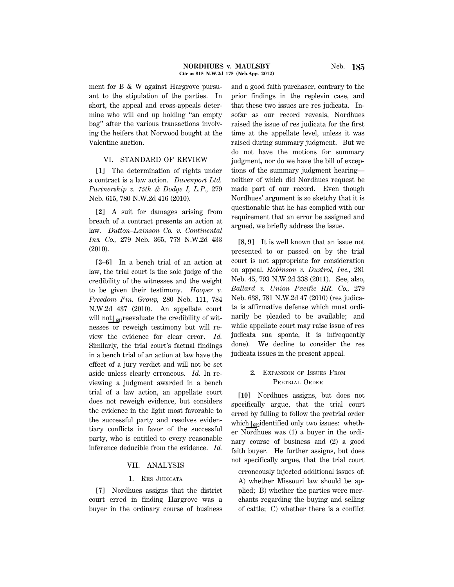#### **NORDHUES v. MAULSBY** Neb. 185 **Cite as 815 N.W.2d 175 (Neb.App. 2012)**

ment for B & W against Hargrove pursuant to the stipulation of the parties. In short, the appeal and cross-appeals determine who will end up holding ''an empty bag'' after the various transactions involving the heifers that Norwood bought at the Valentine auction.

### VI. STANDARD OF REVIEW

**[1]** The determination of rights under a contract is a law action. *Davenport Ltd. Partnership v. 75th & Dodge I, L.P.,* 279 Neb. 615, 780 N.W.2d 416 (2010).

**[2]** A suit for damages arising from breach of a contract presents an action at law. *Dutton–Lainson Co. v. Continental Ins. Co.,* 279 Neb. 365, 778 N.W.2d 433 (2010).

**[3–6]** In a bench trial of an action at law, the trial court is the sole judge of the credibility of the witnesses and the weight to be given their testimony. *Hooper v. Freedom Fin. Group,* 280 Neb. 111, 784 N.W.2d 437 (2010). An appellate court will not  $\int_{631}$ reevaluate the credibility of witnesses or reweigh testimony but will review the evidence for clear error. *Id.* Similarly, the trial court's factual findings in a bench trial of an action at law have the effect of a jury verdict and will not be set aside unless clearly erroneous. *Id.* In reviewing a judgment awarded in a bench trial of a law action, an appellate court does not reweigh evidence, but considers the evidence in the light most favorable to the successful party and resolves evidentiary conflicts in favor of the successful party, who is entitled to every reasonable inference deducible from the evidence. *Id.*

# VII. ANALYSIS

#### 1. RES JUDICATA

**[7]** Nordhues assigns that the district court erred in finding Hargrove was a buyer in the ordinary course of business and a good faith purchaser, contrary to the prior findings in the replevin case, and that these two issues are res judicata. Insofar as our record reveals, Nordhues raised the issue of res judicata for the first time at the appellate level, unless it was raised during summary judgment. But we do not have the motions for summary judgment, nor do we have the bill of exceptions of the summary judgment hearing neither of which did Nordhues request be made part of our record. Even though Nordhues' argument is so sketchy that it is questionable that he has complied with our requirement that an error be assigned and argued, we briefly address the issue.

**[8, 9]** It is well known that an issue not presented to or passed on by the trial court is not appropriate for consideration on appeal. *Robinson v. Dustrol, Inc.,* 281 Neb. 45, 793 N.W.2d 338 (2011). See, also, *Ballard v. Union Pacific RR. Co.,* 279 Neb. 638, 781 N.W.2d 47 (2010) (res judicata is affirmative defense which must ordinarily be pleaded to be available; and while appellate court may raise issue of res judicata sua sponte, it is infrequently done). We decline to consider the res judicata issues in the present appeal.

# 2. EXPANSION OF ISSUES FROM PRETRIAL ORDER

**[10]** Nordhues assigns, but does not specifically argue, that the trial court erred by failing to follow the pretrial order which  $\int_{632}$ identified only two issues: whether Nordhues was (1) a buyer in the ordinary course of business and (2) a good faith buyer. He further assigns, but does not specifically argue, that the trial court

erroneously injected additional issues of: A) whether Missouri law should be applied; B) whether the parties were merchants regarding the buying and selling of cattle; C) whether there is a conflict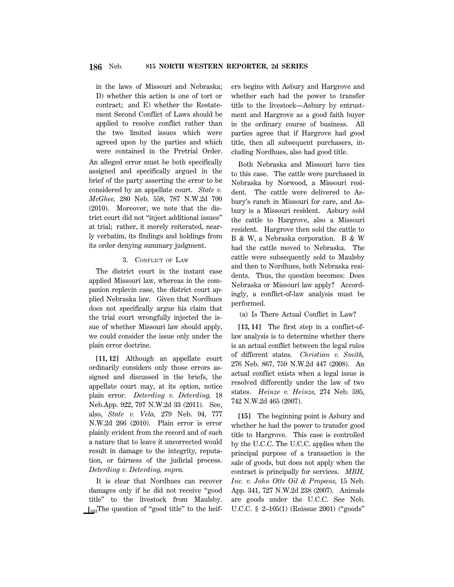in the laws of Missouri and Nebraska; D) whether this action is one of tort or contract; and E) whether the Restatement Second Conflict of Laws should be applied to resolve conflict rather than the two limited issues which were agreed upon by the parties and which were contained in the Pretrial Order. An alleged error must be both specifically assigned and specifically argued in the brief of the party asserting the error to be considered by an appellate court. *State v. McGhee,* 280 Neb. 558, 787 N.W.2d 700 (2010). Moreover, we note that the district court did not ''inject additional issues'' at trial; rather, it merely reiterated, nearly verbatim, its findings and holdings from its order denying summary judgment.

### 3. CONFLICT OF LAW

The district court in the instant case applied Missouri law, whereas in the companion replevin case, the district court applied Nebraska law. Given that Nordhues does not specifically argue his claim that the trial court wrongfully injected the issue of whether Missouri law should apply, we could consider the issue only under the plain error doctrine.

**[11, 12]** Although an appellate court ordinarily considers only those errors assigned and discussed in the briefs, the appellate court may, at its option, notice plain error. *Deterding v. Deterding,* 18 Neb.App. 922, 797 N.W.2d 33 (2011). See, also, *State v. Vela,* 279 Neb. 94, 777 N.W.2d 266 (2010). Plain error is error plainly evident from the record and of such a nature that to leave it uncorrected would result in damage to the integrity, reputation, or fairness of the judicial process. *Deterding v. Deterding, supra.*

It is clear that Nordhues can recover damages only if he did not receive ''good title'' to the livestock from Maulsby.  $\int_{633}$ The question of "good title" to the heifers begins with Asbury and Hargrove and whether each had the power to transfer title to the livestock—Asbury by entrustment and Hargrove as a good faith buyer in the ordinary course of business. All parties agree that if Hargrove had good title, then all subsequent purchasers, including Nordhues, also had good title.

Both Nebraska and Missouri have ties to this case. The cattle were purchased in Nebraska by Norwood, a Missouri resident. The cattle were delivered to Asbury's ranch in Missouri for care, and Asbury is a Missouri resident. Asbury sold the cattle to Hargrove, also a Missouri resident. Hargrove then sold the cattle to B & W, a Nebraska corporation. B & W had the cattle moved to Nebraska. The cattle were subsequently sold to Maulsby and then to Nordhues, both Nebraska residents. Thus, the question becomes: Does Nebraska or Missouri law apply? Accordingly, a conflict-of-law analysis must be performed.

### (a) Is There Actual Conflict in Law?

**[13, 14]** The first step in a conflict-oflaw analysis is to determine whether there is an actual conflict between the legal rules of different states. *Christian v. Smith,* 276 Neb. 867, 759 N.W.2d 447 (2008). An actual conflict exists when a legal issue is resolved differently under the law of two states. *Heinze v. Heinze,* 274 Neb. 595, 742 N.W.2d 465 (2007).

**[15]** The beginning point is Asbury and whether he had the power to transfer good title to Hargrove. This case is controlled by the U.C.C. The U.C.C. applies when the principal purpose of a transaction is the sale of goods, but does not apply when the contract is principally for services. *MBH, Inc. v. John Otte Oil & Propane,* 15 Neb. App. 341, 727 N.W.2d 238 (2007). Animals are goods under the U.C.C. See Neb. U.C.C. § 2–105(1) (Reissue 2001) (''goods''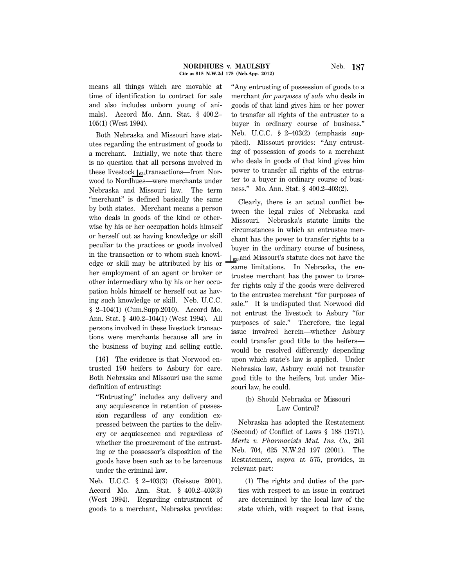means all things which are movable at time of identification to contract for sale and also includes unborn young of animals). Accord Mo. Ann. Stat. § 400.2– 105(1) (West 1994).

Both Nebraska and Missouri have statutes regarding the entrustment of goods to a merchant. Initially, we note that there is no question that all persons involved in these livestock  $\int_{634}$ transactions—from Norwood to Nordhues—were merchants under Nebraska and Missouri law. The term "merchant" is defined basically the same by both states. Merchant means a person who deals in goods of the kind or otherwise by his or her occupation holds himself or herself out as having knowledge or skill peculiar to the practices or goods involved in the transaction or to whom such knowledge or skill may be attributed by his or her employment of an agent or broker or other intermediary who by his or her occupation holds himself or herself out as having such knowledge or skill. Neb. U.C.C. § 2-104(1) (Cum.Supp.2010). Accord Mo. Ann. Stat. § 400.2–104(1) (West 1994). All persons involved in these livestock transactions were merchants because all are in the business of buying and selling cattle.

**[16]** The evidence is that Norwood entrusted 190 heifers to Asbury for care. Both Nebraska and Missouri use the same definition of entrusting:

''Entrusting'' includes any delivery and any acquiescence in retention of possession regardless of any condition expressed between the parties to the delivery or acquiescence and regardless of whether the procurement of the entrusting or the possessor's disposition of the goods have been such as to be larcenous under the criminal law.

Neb. U.C.C. § 2–403(3) (Reissue 2001). Accord Mo. Ann. Stat. § 400.2–403(3) (West 1994). Regarding entrustment of goods to a merchant, Nebraska provides: ''Any entrusting of possession of goods to a merchant *for purposes of sale* who deals in goods of that kind gives him or her power to transfer all rights of the entruster to a buyer in ordinary course of business.'' Neb. U.C.C. § 2–403(2) (emphasis supplied). Missouri provides: ''Any entrusting of possession of goods to a merchant who deals in goods of that kind gives him power to transfer all rights of the entruster to a buyer in ordinary course of business.'' Mo. Ann. Stat. § 400.2–403(2).

Clearly, there is an actual conflict between the legal rules of Nebraska and Missouri. Nebraska's statute limits the circumstances in which an entrustee merchant has the power to transfer rights to a buyer in the ordinary course of business,  $\int_{635}$ and Missouri's statute does not have the same limitations. In Nebraska, the entrustee merchant has the power to transfer rights only if the goods were delivered to the entrustee merchant ''for purposes of sale.'' It is undisputed that Norwood did not entrust the livestock to Asbury ''for purposes of sale.'' Therefore, the legal issue involved herein—whether Asbury could transfer good title to the heifers would be resolved differently depending upon which state's law is applied. Under Nebraska law, Asbury could not transfer good title to the heifers, but under Missouri law, he could.

# (b) Should Nebraska or Missouri Law Control?

Nebraska has adopted the Restatement (Second) of Conflict of Laws § 188 (1971). *Mertz v. Pharmacists Mut. Ins. Co.,* 261 Neb. 704, 625 N.W.2d 197 (2001). The Restatement, *supra* at 575, provides, in relevant part:

(1) The rights and duties of the parties with respect to an issue in contract are determined by the local law of the state which, with respect to that issue,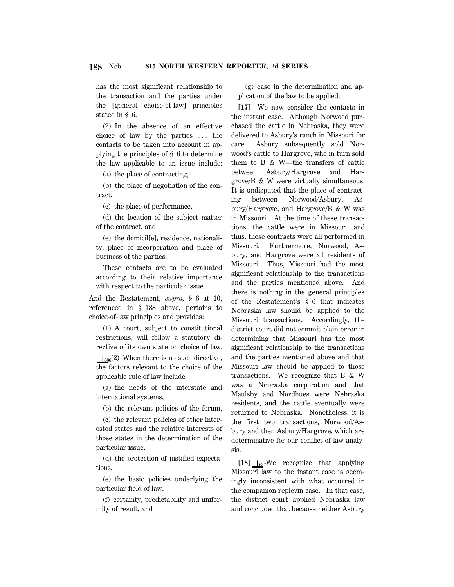has the most significant relationship to the transaction and the parties under the [general choice-of-law] principles stated in § 6.

(2) In the absence of an effective choice of law by the parties  $\ldots$  the contacts to be taken into account in applying the principles of § 6 to determine the law applicable to an issue include:

(a) the place of contracting,

(b) the place of negotiation of the contract,

(c) the place of performance,

(d) the location of the subject matter of the contract, and

(e) the domicil[e], residence, nationality, place of incorporation and place of business of the parties.

These contacts are to be evaluated according to their relative importance with respect to the particular issue.

And the Restatement, *supra,* § 6 at 10, referenced in § 188 above, pertains to choice-of-law principles and provides:

(1) A court, subject to constitutional restrictions, will follow a statutory directive of its own state on choice of law.

 $\log_6(2)$  When there is no such directive, the factors relevant to the choice of the applicable rule of law include

(a) the needs of the interstate and international systems,

(b) the relevant policies of the forum,

(c) the relevant policies of other interested states and the relative interests of those states in the determination of the particular issue,

(d) the protection of justified expectations,

(e) the basic policies underlying the particular field of law,

(f) certainty, predictability and uniformity of result, and

(g) ease in the determination and application of the law to be applied.

**[17]** We now consider the contacts in the instant case. Although Norwood purchased the cattle in Nebraska, they were delivered to Asbury's ranch in Missouri for care. Asbury subsequently sold Norwood's cattle to Hargrove, who in turn sold them to B & W—the transfers of cattle between Asbury/Hargrove and Hargrove/B & W were virtually simultaneous. It is undisputed that the place of contracting between Norwood/Asbury, Asbury/Hargrove, and Hargrove/B & W was in Missouri. At the time of these transactions, the cattle were in Missouri, and thus, these contracts were all performed in Missouri. Furthermore, Norwood, Asbury, and Hargrove were all residents of Missouri. Thus, Missouri had the most significant relationship to the transactions and the parties mentioned above. And there is nothing in the general principles of the Restatement's § 6 that indicates Nebraska law should be applied to the Missouri transactions. Accordingly, the district court did not commit plain error in determining that Missouri has the most significant relationship to the transactions and the parties mentioned above and that Missouri law should be applied to those transactions. We recognize that B & W was a Nebraska corporation and that Maulsby and Nordhues were Nebraska residents, and the cattle eventually were returned to Nebraska. Nonetheless, it is the first two transactions, Norwood/Asbury and then Asbury/Hargrove, which are determinative for our conflict-of-law analysis.

 $[18]$   $\frac{1}{637}$ We recognize that applying Missouri law to the instant case is seemingly inconsistent with what occurred in the companion replevin case. In that case, the district court applied Nebraska law and concluded that because neither Asbury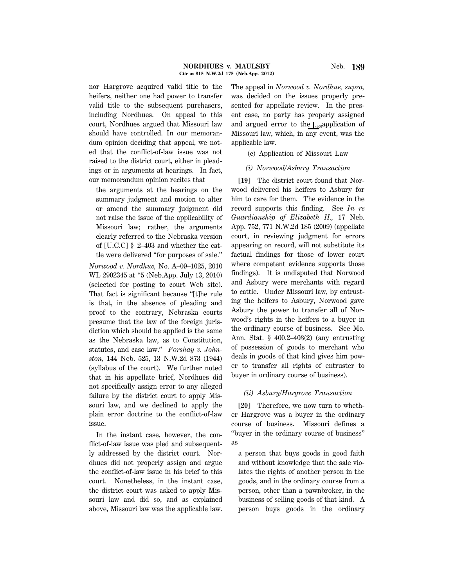nor Hargrove acquired valid title to the heifers, neither one had power to transfer valid title to the subsequent purchasers, including Nordhues. On appeal to this court, Nordhues argued that Missouri law should have controlled. In our memorandum opinion deciding that appeal, we noted that the conflict-of-law issue was not raised to the district court, either in pleadings or in arguments at hearings. In fact, our memorandum opinion recites that

the arguments at the hearings on the summary judgment and motion to alter or amend the summary judgment did not raise the issue of the applicability of Missouri law; rather, the arguments clearly referred to the Nebraska version of [U.C.C] § 2–403 and whether the cattle were delivered ''for purposes of sale.''

*Norwood v. Nordhue,* No. A–09–1025, 2010 WL 2902345 at \*5 (Neb.App. July 13, 2010) (selected for posting to court Web site). That fact is significant because "[t]he rule is that, in the absence of pleading and proof to the contrary, Nebraska courts presume that the law of the foreign jurisdiction which should be applied is the same as the Nebraska law, as to Constitution, statutes, and case law.'' *Forshay v. Johnston,* 144 Neb. 525, 13 N.W.2d 873 (1944) (syllabus of the court). We further noted that in his appellate brief, Nordhues did not specifically assign error to any alleged failure by the district court to apply Missouri law, and we declined to apply the plain error doctrine to the conflict-of-law issue.

In the instant case, however, the conflict-of-law issue was pled and subsequently addressed by the district court. Nordhues did not properly assign and argue the conflict-of-law issue in his brief to this court. Nonetheless, in the instant case, the district court was asked to apply Missouri law and did so, and as explained above, Missouri law was the applicable law. The appeal in *Norwood v. Nordhue, supra,* was decided on the issues properly presented for appellate review. In the present case, no party has properly assigned and argued error to the  $\int_{638}$ application of Missouri law, which, in any event, was the applicable law.

(c) Application of Missouri Law

### *(i) Norwood/Asbury Transaction*

**[19]** The district court found that Norwood delivered his heifers to Asbury for him to care for them. The evidence in the record supports this finding. See *In re Guardianship of Elizabeth H.,* 17 Neb. App. 752, 771 N.W.2d 185 (2009) (appellate court, in reviewing judgment for errors appearing on record, will not substitute its factual findings for those of lower court where competent evidence supports those findings). It is undisputed that Norwood and Asbury were merchants with regard to cattle. Under Missouri law, by entrusting the heifers to Asbury, Norwood gave Asbury the power to transfer all of Norwood's rights in the heifers to a buyer in the ordinary course of business. See Mo. Ann. Stat. § 400.2–403(2) (any entrusting of possession of goods to merchant who deals in goods of that kind gives him power to transfer all rights of entruster to buyer in ordinary course of business).

#### *(ii) Asbury/Hargrove Transaction*

**[20]** Therefore, we now turn to whether Hargrove was a buyer in the ordinary course of business. Missouri defines a ''buyer in the ordinary course of business'' as

a person that buys goods in good faith and without knowledge that the sale violates the rights of another person in the goods, and in the ordinary course from a person, other than a pawnbroker, in the business of selling goods of that kind. A person buys goods in the ordinary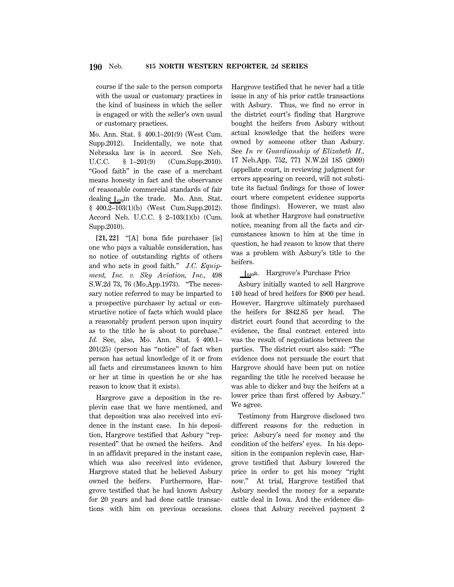course if the sale to the person comports with the usual or customary practices in the kind of business in which the seller is engaged or with the seller's own usual or customary practices.

Mo. Ann. Stat. § 400.1–201(9) (West Cum. Supp.2012). Incidentally, we note that Nebraska law is in accord. See Neb. U.C.C. § 1-201(9) (Cum.Supp.2010). ''Good faith'' in the case of a merchant means honesty in fact and the observance of reasonable commercial standards of fair dealing  $\int_{639}$ in the trade. Mo. Ann. Stat. § 400.2–103(1)(b) (West Cum.Supp.2012). Accord Neb. U.C.C. § 2–103(1)(b) (Cum. Supp.2010).

**[21, 22]** ''[A] bona fide purchaser [is] one who pays a valuable consideration, has no notice of outstanding rights of others and who acts in good faith.'' *J.C. Equipment, Inc. v. Sky Aviation, Inc.,* 498 S.W.2d 73, 76 (Mo.App.1973). ''The necessary notice referred to may be imparted to a prospective purchaser by actual or constructive notice of facts which would place a reasonably prudent person upon inquiry as to the title he is about to purchase.'' *Id.* See, also, Mo. Ann. Stat. § 400.1– 201(25) (person has ''notice'' of fact when person has actual knowledge of it or from all facts and circumstances known to him or her at time in question he or she has reason to know that it exists).

Hargrove gave a deposition in the replevin case that we have mentioned, and that deposition was also received into evidence in the instant case. In his deposition, Hargrove testified that Asbury ''represented'' that he owned the heifers. And in an affidavit prepared in the instant case, which was also received into evidence, Hargrove stated that he believed Asbury owned the heifers. Furthermore, Hargrove testified that he had known Asbury for 20 years and had done cattle transactions with him on previous occasions. Hargrove testified that he never had a title issue in any of his prior cattle transactions with Asbury. Thus, we find no error in the district court's finding that Hargrove bought the heifers from Asbury without actual knowledge that the heifers were owned by someone other than Asbury. See *In re Guardianship of Elizabeth H.,* 17 Neb.App. 752, 771 N.W.2d 185 (2009) (appellate court, in reviewing judgment for errors appearing on record, will not substitute its factual findings for those of lower court where competent evidence supports those findings). However, we must also look at whether Hargrove had constructive notice, meaning from all the facts and circumstances known to him at the time in question, he had reason to know that there was a problem with Asbury's title to the heifers.

# $\int_{640}$ a. Hargrove's Purchase Price

Asbury initially wanted to sell Hargrove 140 head of bred heifers for \$900 per head. However, Hargrove ultimately purchased the heifers for \$842.85 per head. The district court found that according to the evidence, the final contract entered into was the result of negotiations between the parties. The district court also said: ''The evidence does not persuade the court that Hargrove should have been put on notice regarding the title he received because he was able to dicker and buy the heifers at a lower price than first offered by Asbury.'' We agree.

Testimony from Hargrove disclosed two different reasons for the reduction in price: Asbury's need for money and the condition of the heifers' eyes. In his deposition in the companion replevin case, Hargrove testified that Asbury lowered the price in order to get his money "right now.'' At trial, Hargrove testified that Asbury needed the money for a separate cattle deal in Iowa. And the evidence discloses that Asbury received payment 2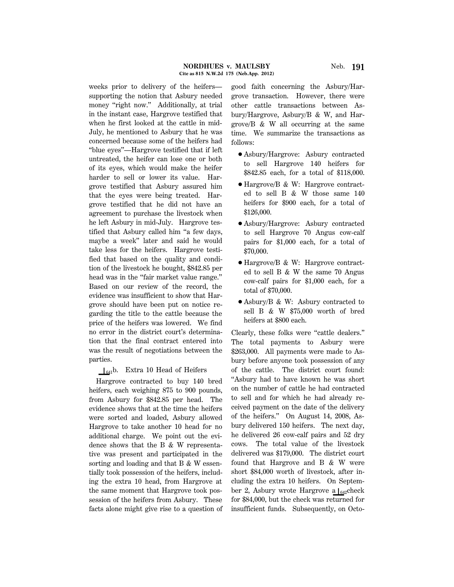weeks prior to delivery of the heifers supporting the notion that Asbury needed money "right now." Additionally, at trial in the instant case, Hargrove testified that when he first looked at the cattle in mid-July, he mentioned to Asbury that he was good faith concerning the Asbury/Hargrove transaction. However, there were other cattle transactions between Asbury/Hargrove, Asbury/B & W, and Hargrove/B & W all occurring at the same time. We summarize the transactions as

follows:

- 1 Asbury/Hargrove: Asbury contracted to sell Hargrove 140 heifers for \$842.85 each, for a total of \$118,000.
- $\bullet$  Hargrove/B & W: Hargrove contracted to sell B & W those same 140 heifers for \$900 each, for a total of \$126,000.
- 1 Asbury/Hargrove: Asbury contracted to sell Hargrove 70 Angus cow-calf pairs for \$1,000 each, for a total of \$70,000.
- $\bullet$  Hargrove/B & W: Hargrove contracted to sell B & W the same 70 Angus cow-calf pairs for \$1,000 each, for a total of \$70,000.
- $\bullet$  Asbury/B & W: Asbury contracted to sell B & W \$75,000 worth of bred heifers at \$800 each.

Clearly, these folks were ''cattle dealers.'' The total payments to Asbury were \$263,000. All payments were made to Asbury before anyone took possession of any of the cattle. The district court found: ''Asbury had to have known he was short on the number of cattle he had contracted to sell and for which he had already received payment on the date of the delivery of the heifers.'' On August 14, 2008, Asbury delivered 150 heifers. The next day, he delivered 26 cow-calf pairs and 52 dry cows. The total value of the livestock delivered was \$179,000. The district court found that Hargrove and B & W were short \$84,000 worth of livestock, after including the extra 10 heifers. On September 2, Asbury wrote Hargrove a  $\int_{642}$ check for \$84,000, but the check was returned for insufficient funds. Subsequently, on Octo-

# $\vert_{641}$ b. Extra 10 Head of Heifers Hargrove contracted to buy 140 bred

parties.

concerned because some of the heifers had ''blue eyes''—Hargrove testified that if left untreated, the heifer can lose one or both of its eyes, which would make the heifer harder to sell or lower its value. Hargrove testified that Asbury assured him that the eyes were being treated. Hargrove testified that he did not have an agreement to purchase the livestock when he left Asbury in mid-July. Hargrove testified that Asbury called him ''a few days, maybe a week'' later and said he would take less for the heifers. Hargrove testified that based on the quality and condition of the livestock he bought, \$842.85 per head was in the "fair market value range." Based on our review of the record, the evidence was insufficient to show that Hargrove should have been put on notice regarding the title to the cattle because the price of the heifers was lowered. We find no error in the district court's determination that the final contract entered into was the result of negotiations between the

heifers, each weighing 875 to 900 pounds, from Asbury for \$842.85 per head. The evidence shows that at the time the heifers were sorted and loaded, Asbury allowed Hargrove to take another 10 head for no additional charge. We point out the evidence shows that the B & W representative was present and participated in the sorting and loading and that B & W essentially took possession of the heifers, including the extra 10 head, from Hargrove at the same moment that Hargrove took possession of the heifers from Asbury. These facts alone might give rise to a question of